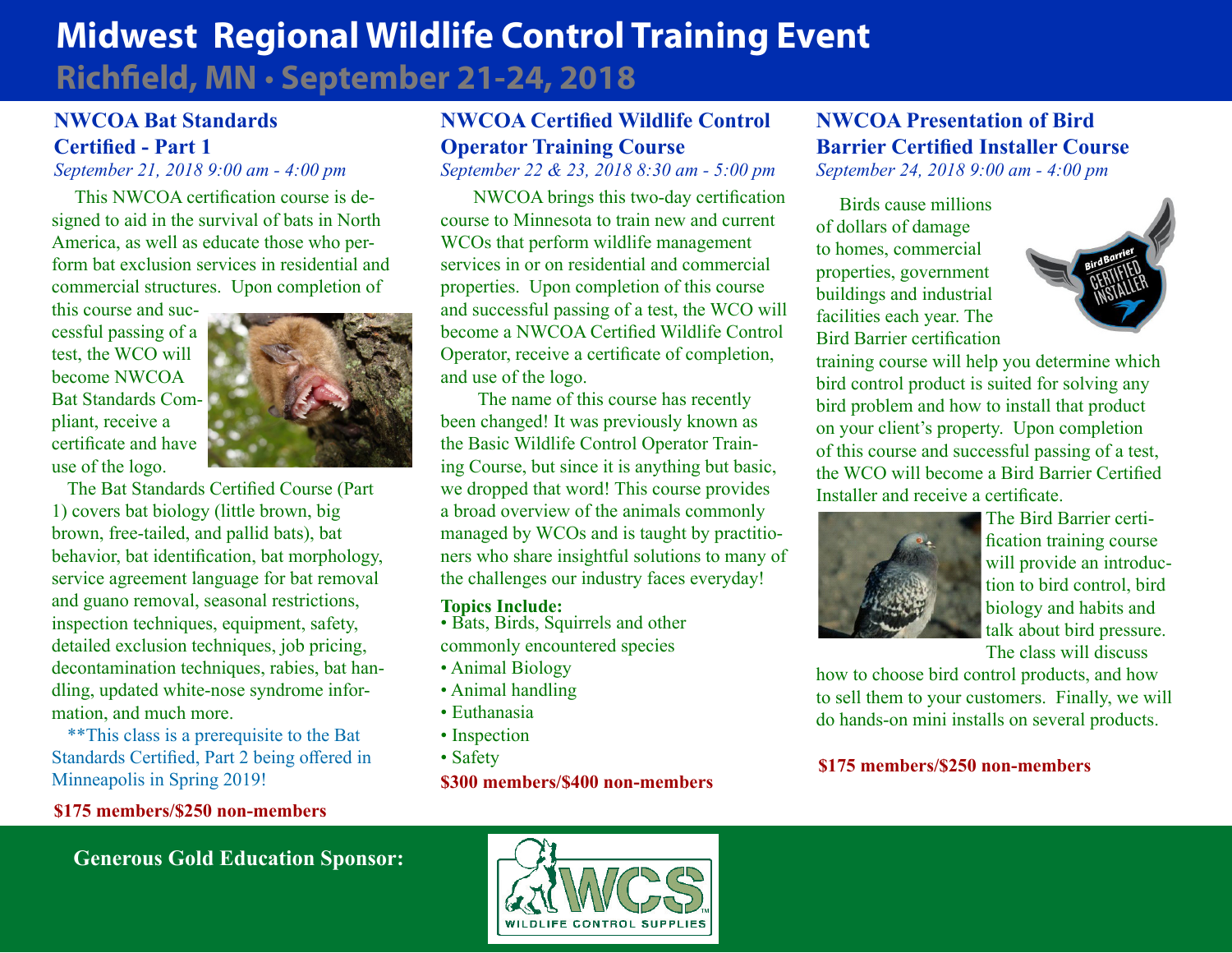# **Midwest Regional Wildlife Control Training Event Richfield, MN** • **September 21-24, 2018**

### **NWCOA Bat Standards Certified - Part 1**

*September 21, 2018 9:00 am - 4:00 pm*

 This NWCOA certification course is designed to aid in the survival of bats in North America, as well as educate those who perform bat exclusion services in residential and commercial structures. Upon completion of

this course and successful passing of a test, the WCO will become NWCOA Bat Standards Compliant, receive a certificate and have use of the logo.



The Bat Standards Certified Course (Part 1) covers bat biology (little brown, big brown, free-tailed, and pallid bats), bat behavior, bat identification, bat morphology, service agreement language for bat removal and guano removal, seasonal restrictions, inspection techniques, equipment, safety, detailed exclusion techniques, job pricing, decontamination techniques, rabies, bat handling, updated white-nose syndrome information, and much more.

\*\*This class is a prerequisite to the Bat Standards Certified, Part 2 being offered in Minneapolis in Spring 2019!

**\$175 members/\$250 non-members**

## **NWCOA Certified Wildlife Control Operator Training Course**

*September 22 & 23, 2018 8:30 am - 5:00 pm*

 NWCOA brings this two-day certification course to Minnesota to train new and current WCOs that perform wildlife management services in or on residential and commercial properties. Upon completion of this course and successful passing of a test, the WCO will become a NWCOA Certified Wildlife Control Operator, receive a certificate of completion, and use of the logo.

 The name of this course has recently been changed! It was previously known as the Basic Wildlife Control Operator Training Course, but since it is anything but basic, we dropped that word! This course provides a broad overview of the animals commonly managed by WCOs and is taught by practitioners who share insightful solutions to many of the challenges our industry faces everyday!

#### **Topics Include:**

- Bats, Birds, Squirrels and other commonly encountered species
- Animal Biology
- Animal handling
- Euthanasia
- Inspection
- Safety

#### **\$300 members/\$400 non-members**

### **NWCOA Presentation of Bird Barrier Certified Installer Course**

*September 24, 2018 9:00 am - 4:00 pm*

 Birds cause millions of dollars of damage to homes, commercial properties, government buildings and industrial facilities each year. The Bird Barrier certification



training course will help you determine which bird control product is suited for solving any bird problem and how to install that product on your client's property. Upon completion of this course and successful passing of a test, the WCO will become a Bird Barrier Certified Installer and receive a certificate.



 The Bird Barrier certification training course will provide an introduction to bird control, bird biology and habits and talk about bird pressure. The class will discuss

how to choose bird control products, and how to sell them to your customers. Finally, we will do hands-on mini installs on several products.

### **\$175 members/\$250 non-members**

**Generous Gold Education Sponsor:**